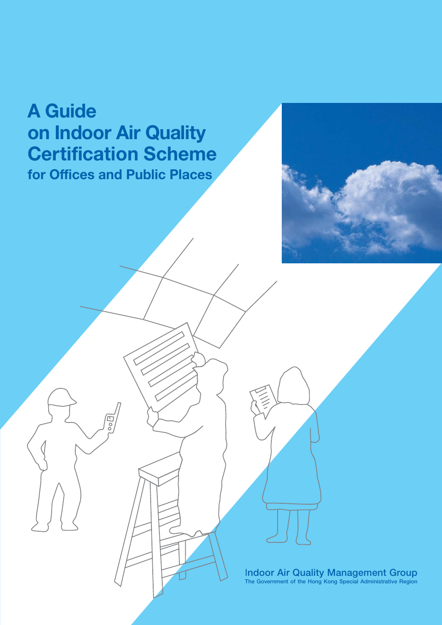# **A Guide on Indoor Air Quality Certification Scheme for Offices and Public Places**



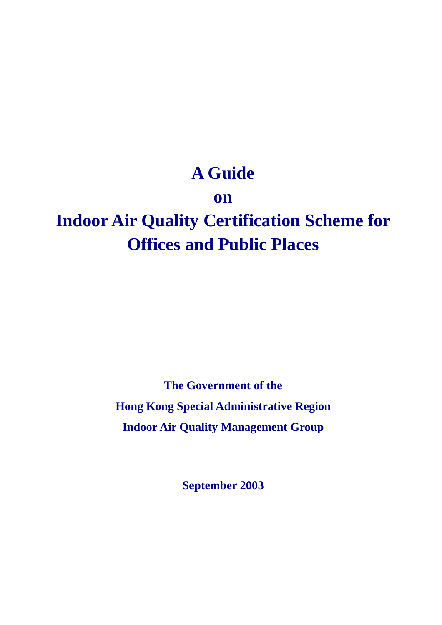# **A Guide**

# **on**

# **Indoor Air Quality Certification Scheme for Offices and Public Places**

**The Government of the Hong Kong Special Administrative Region Indoor Air Quality Management Group** 

**September 2003**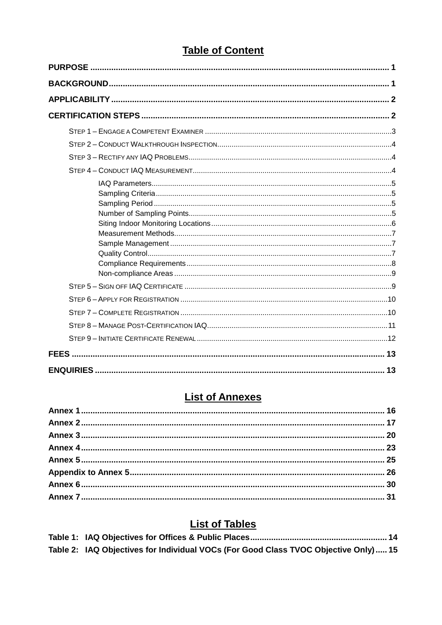# **Table of Content**

| FEES. |  |
|-------|--|
|       |  |

# **List of Annexes**

# **List of Tables**

| Table 2: IAQ Objectives for Individual VOCs (For Good Class TVOC Objective Only)15 |  |
|------------------------------------------------------------------------------------|--|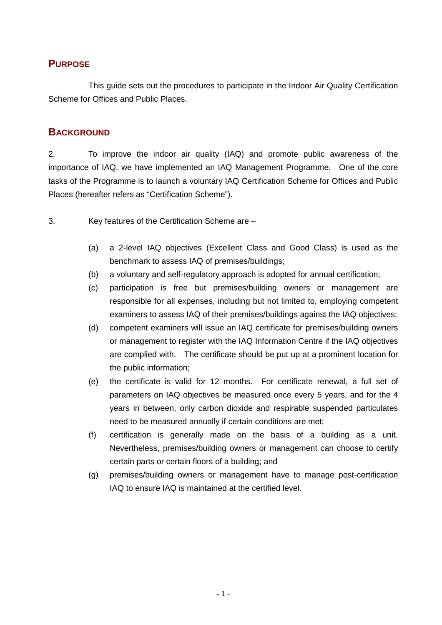## **PURPOSE**

 This guide sets out the procedures to participate in the Indoor Air Quality Certification Scheme for Offices and Public Places.

## **BACKGROUND**

2. To improve the indoor air quality (IAQ) and promote public awareness of the importance of IAQ, we have implemented an IAQ Management Programme. One of the core tasks of the Programme is to launch a voluntary IAQ Certification Scheme for Offices and Public Places (hereafter refers as "Certification Scheme").

3. Key features of the Certification Scheme are –

- (a) a 2-level IAQ objectives (Excellent Class and Good Class) is used as the benchmark to assess IAQ of premises/buildings;
- (b) a voluntary and self-regulatory approach is adopted for annual certification;
- (c) participation is free but premises/building owners or management are responsible for all expenses, including but not limited to, employing competent examiners to assess IAQ of their premises/buildings against the IAQ objectives;
- (d) competent examiners will issue an IAQ certificate for premises/building owners or management to register with the IAQ Information Centre if the IAQ objectives are complied with. The certificate should be put up at a prominent location for the public information;
- (e) the certificate is valid for 12 months. For certificate renewal, a full set of parameters on IAQ objectives be measured once every 5 years, and for the 4 years in between, only carbon dioxide and respirable suspended particulates need to be measured annually if certain conditions are met;
- (f) certification is generally made on the basis of a building as a unit. Nevertheless, premises/building owners or management can choose to certify certain parts or certain floors of a building; and
- (g) premises/building owners or management have to manage post-certification IAQ to ensure IAQ is maintained at the certified level.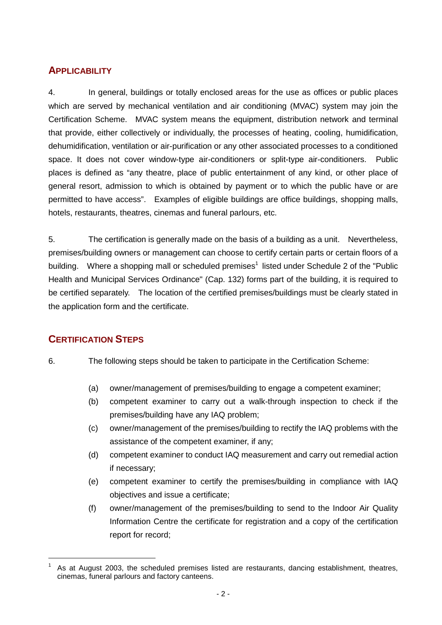## **APPLICABILITY**

4. In general, buildings or totally enclosed areas for the use as offices or public places which are served by mechanical ventilation and air conditioning (MVAC) system may join the Certification Scheme. MVAC system means the equipment, distribution network and terminal that provide, either collectively or individually, the processes of heating, cooling, humidification, dehumidification, ventilation or air-purification or any other associated processes to a conditioned space. It does not cover window-type air-conditioners or split-type air-conditioners. Public places is defined as "any theatre, place of public entertainment of any kind, or other place of general resort, admission to which is obtained by payment or to which the public have or are permitted to have access". Examples of eligible buildings are office buildings, shopping malls, hotels, restaurants, theatres, cinemas and funeral parlours, etc.

5. The certification is generally made on the basis of a building as a unit. Nevertheless, premises/building owners or management can choose to certify certain parts or certain floors of a building. Where a shopping mall or scheduled premises<sup>1</sup> listed under Schedule 2 of the "Public Health and Municipal Services Ordinance" (Cap. 132) forms part of the building, it is required to be certified separately. The location of the certified premises/buildings must be clearly stated in the application form and the certificate.

# **CERTIFICATION STEPS**

- 6. The following steps should be taken to participate in the Certification Scheme:
	- (a) owner/management of premises/building to engage a competent examiner;
	- (b) competent examiner to carry out a walk-through inspection to check if the premises/building have any IAQ problem;
	- (c) owner/management of the premises/building to rectify the IAQ problems with the assistance of the competent examiner, if any;
	- (d) competent examiner to conduct IAQ measurement and carry out remedial action if necessary;
	- (e) competent examiner to certify the premises/building in compliance with IAQ objectives and issue a certificate;
	- (f) owner/management of the premises/building to send to the Indoor Air Quality Information Centre the certificate for registration and a copy of the certification report for record;

<sup>1</sup> As at August 2003, the scheduled premises listed are restaurants, dancing establishment, theatres, cinemas, funeral parlours and factory canteens.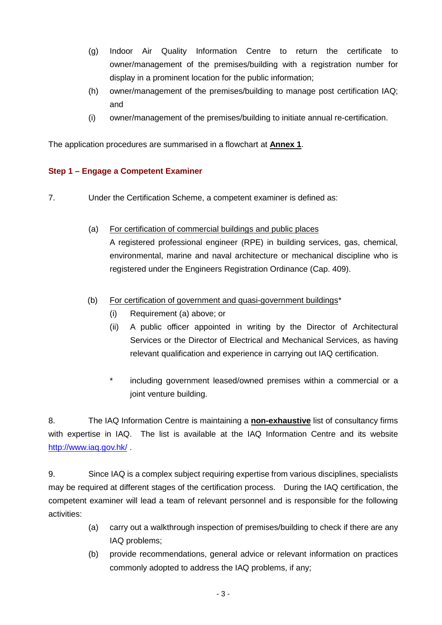- (g) Indoor Air Quality Information Centre to return the certificate to owner/management of the premises/building with a registration number for display in a prominent location for the public information;
- (h) owner/management of the premises/building to manage post certification IAQ; and
- (i) owner/management of the premises/building to initiate annual re-certification.

The application procedures are summarised in a flowchart at **Annex 1**.

### **Step 1 – Engage a Competent Examiner**

- 7. Under the Certification Scheme, a competent examiner is defined as:
	- (a) For certification of commercial buildings and public places A registered professional engineer (RPE) in building services, gas, chemical, environmental, marine and naval architecture or mechanical discipline who is registered under the Engineers Registration Ordinance (Cap. 409).
	- (b) For certification of government and quasi-government buildings\*
		- (i) Requirement (a) above; or
		- (ii) A public officer appointed in writing by the Director of Architectural Services or the Director of Electrical and Mechanical Services, as having relevant qualification and experience in carrying out IAQ certification.
		- \* including government leased/owned premises within a commercial or a joint venture building.

8. The IAQ Information Centre is maintaining a **non-exhaustive** list of consultancy firms with expertise in IAQ. The list is available at the IAQ Information Centre and its website http://www.iaq.gov.hk/ .

9. Since IAQ is a complex subject requiring expertise from various disciplines, specialists may be required at different stages of the certification process. During the IAQ certification, the competent examiner will lead a team of relevant personnel and is responsible for the following activities:

- (a) carry out a walkthrough inspection of premises/building to check if there are any IAQ problems;
- (b) provide recommendations, general advice or relevant information on practices commonly adopted to address the IAQ problems, if any;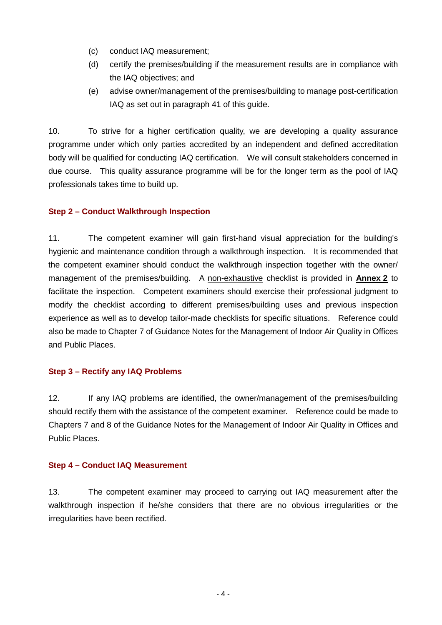- (c) conduct IAQ measurement;
- (d) certify the premises/building if the measurement results are in compliance with the IAQ objectives; and
- (e) advise owner/management of the premises/building to manage post-certification IAQ as set out in paragraph 41 of this guide.

10. To strive for a higher certification quality, we are developing a quality assurance programme under which only parties accredited by an independent and defined accreditation body will be qualified for conducting IAQ certification. We will consult stakeholders concerned in due course. This quality assurance programme will be for the longer term as the pool of IAQ professionals takes time to build up.

### **Step 2 – Conduct Walkthrough Inspection**

11. The competent examiner will gain first-hand visual appreciation for the building's hygienic and maintenance condition through a walkthrough inspection. It is recommended that the competent examiner should conduct the walkthrough inspection together with the owner/ management of the premises/building. A non-exhaustive checklist is provided in **Annex 2** to facilitate the inspection. Competent examiners should exercise their professional judgment to modify the checklist according to different premises/building uses and previous inspection experience as well as to develop tailor-made checklists for specific situations. Reference could also be made to Chapter 7 of Guidance Notes for the Management of Indoor Air Quality in Offices and Public Places.

### **Step 3 – Rectify any IAQ Problems**

12. If any IAQ problems are identified, the owner/management of the premises/building should rectify them with the assistance of the competent examiner. Reference could be made to Chapters 7 and 8 of the Guidance Notes for the Management of Indoor Air Quality in Offices and Public Places.

### **Step 4 – Conduct IAQ Measurement**

13. The competent examiner may proceed to carrying out IAQ measurement after the walkthrough inspection if he/she considers that there are no obvious irregularities or the irregularities have been rectified.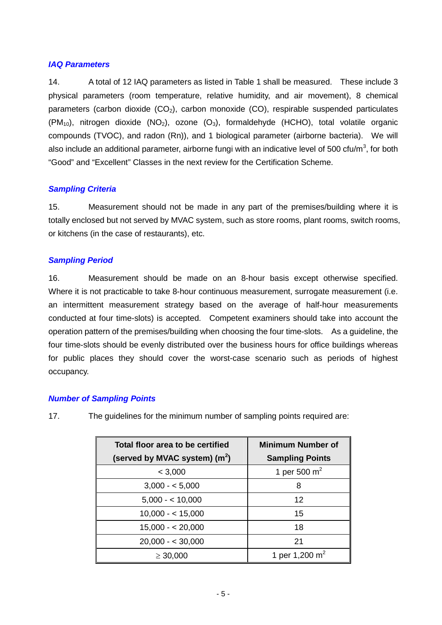### *IAQ Parameters*

14. A total of 12 IAQ parameters as listed in Table 1 shall be measured. These include 3 physical parameters (room temperature, relative humidity, and air movement), 8 chemical parameters (carbon dioxide  $(CO_2)$ , carbon monoxide  $(CO)$ , respirable suspended particulates  $(PM_{10})$ , nitrogen dioxide  $(NO_2)$ , ozone  $(O_3)$ , formaldehyde (HCHO), total volatile organic compounds (TVOC), and radon (Rn)), and 1 biological parameter (airborne bacteria). We will also include an additional parameter, airborne fungi with an indicative level of 500 cfu/m<sup>3</sup>, for both "Good" and "Excellent" Classes in the next review for the Certification Scheme.

### *Sampling Criteria*

15. Measurement should not be made in any part of the premises/building where it is totally enclosed but not served by MVAC system, such as store rooms, plant rooms, switch rooms, or kitchens (in the case of restaurants), etc.

### *Sampling Period*

16. Measurement should be made on an 8-hour basis except otherwise specified. Where it is not practicable to take 8-hour continuous measurement, surrogate measurement (i.e. an intermittent measurement strategy based on the average of half-hour measurements conducted at four time-slots) is accepted. Competent examiners should take into account the operation pattern of the premises/building when choosing the four time-slots. As a guideline, the four time-slots should be evenly distributed over the business hours for office buildings whereas for public places they should cover the worst-case scenario such as periods of highest occupancy.

### *Number of Sampling Points*

| Total floor area to be certified | <b>Minimum Number of</b> |
|----------------------------------|--------------------------|
| (served by MVAC system) $(m2)$   | <b>Sampling Points</b>   |
| < 3,000                          | 1 per 500 $m2$           |
| $3,000 - 5,000$                  | 8                        |
| $5,000 - 10,000$                 | 12                       |
| $10,000 - 15,000$                | 15                       |
| $15,000 - 20,000$                | 18                       |
| $20,000 - 5,30,000$              | 21                       |
| $\geq 30,000$                    | 1 per 1,200 $m2$         |

17. The guidelines for the minimum number of sampling points required are: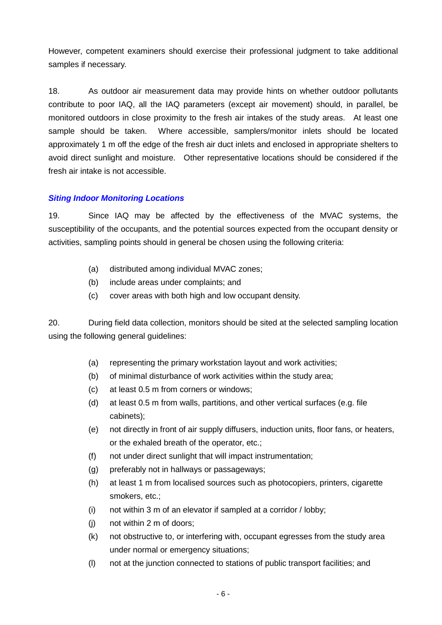However, competent examiners should exercise their professional judgment to take additional samples if necessary.

18. As outdoor air measurement data may provide hints on whether outdoor pollutants contribute to poor IAQ, all the IAQ parameters (except air movement) should, in parallel, be monitored outdoors in close proximity to the fresh air intakes of the study areas. At least one sample should be taken. Where accessible, samplers/monitor inlets should be located approximately 1 m off the edge of the fresh air duct inlets and enclosed in appropriate shelters to avoid direct sunlight and moisture. Other representative locations should be considered if the fresh air intake is not accessible.

### *Siting Indoor Monitoring Locations*

19. Since IAQ may be affected by the effectiveness of the MVAC systems, the susceptibility of the occupants, and the potential sources expected from the occupant density or activities, sampling points should in general be chosen using the following criteria:

- (a) distributed among individual MVAC zones;
- (b) include areas under complaints; and
- (c) cover areas with both high and low occupant density.

20. During field data collection, monitors should be sited at the selected sampling location using the following general guidelines:

- (a) representing the primary workstation layout and work activities;
- (b) of minimal disturbance of work activities within the study area;
- (c) at least 0.5 m from corners or windows;
- (d) at least 0.5 m from walls, partitions, and other vertical surfaces (e.g. file cabinets);
- (e) not directly in front of air supply diffusers, induction units, floor fans, or heaters, or the exhaled breath of the operator, etc.;
- (f) not under direct sunlight that will impact instrumentation;
- (g) preferably not in hallways or passageways;
- (h) at least 1 m from localised sources such as photocopiers, printers, cigarette smokers, etc.;
- (i) not within 3 m of an elevator if sampled at a corridor / lobby;
- (j) not within 2 m of doors;
- (k) not obstructive to, or interfering with, occupant egresses from the study area under normal or emergency situations;
- (l) not at the junction connected to stations of public transport facilities; and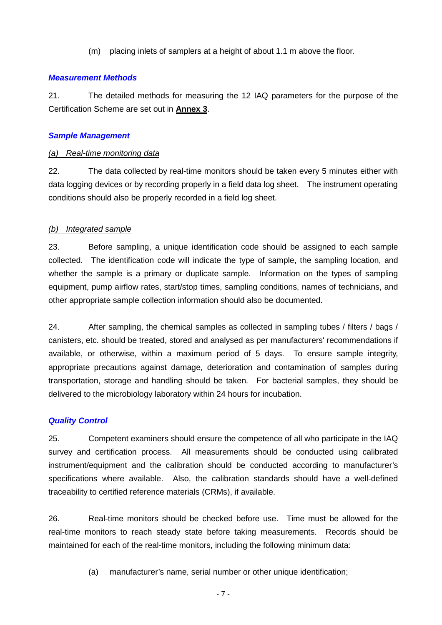(m) placing inlets of samplers at a height of about 1.1 m above the floor.

### *Measurement Methods*

21. The detailed methods for measuring the 12 IAQ parameters for the purpose of the Certification Scheme are set out in **Annex 3**.

### *Sample Management*

### *(a) Real-time monitoring data*

22. The data collected by real-time monitors should be taken every 5 minutes either with data logging devices or by recording properly in a field data log sheet. The instrument operating conditions should also be properly recorded in a field log sheet.

### *(b) Integrated sample*

23. Before sampling, a unique identification code should be assigned to each sample collected. The identification code will indicate the type of sample, the sampling location, and whether the sample is a primary or duplicate sample. Information on the types of sampling equipment, pump airflow rates, start/stop times, sampling conditions, names of technicians, and other appropriate sample collection information should also be documented.

24. After sampling, the chemical samples as collected in sampling tubes / filters / bags / canisters, etc. should be treated, stored and analysed as per manufacturers' recommendations if available, or otherwise, within a maximum period of 5 days. To ensure sample integrity, appropriate precautions against damage, deterioration and contamination of samples during transportation, storage and handling should be taken. For bacterial samples, they should be delivered to the microbiology laboratory within 24 hours for incubation.

### *Quality Control*

25. Competent examiners should ensure the competence of all who participate in the IAQ survey and certification process. All measurements should be conducted using calibrated instrument/equipment and the calibration should be conducted according to manufacturer's specifications where available. Also, the calibration standards should have a well-defined traceability to certified reference materials (CRMs), if available.

26. Real-time monitors should be checked before use. Time must be allowed for the real-time monitors to reach steady state before taking measurements. Records should be maintained for each of the real-time monitors, including the following minimum data:

(a) manufacturer's name, serial number or other unique identification;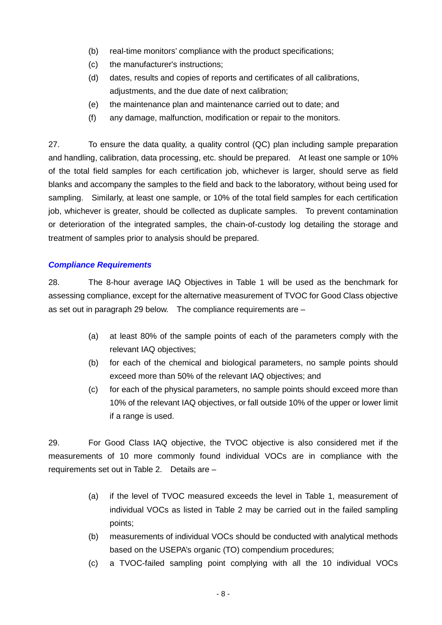- (b) real-time monitors' compliance with the product specifications;
- (c) the manufacturer's instructions;
- (d) dates, results and copies of reports and certificates of all calibrations, adjustments, and the due date of next calibration;
- (e) the maintenance plan and maintenance carried out to date; and
- (f) any damage, malfunction, modification or repair to the monitors.

27. To ensure the data quality, a quality control (QC) plan including sample preparation and handling, calibration, data processing, etc. should be prepared. At least one sample or 10% of the total field samples for each certification job, whichever is larger, should serve as field blanks and accompany the samples to the field and back to the laboratory, without being used for sampling. Similarly, at least one sample, or 10% of the total field samples for each certification job, whichever is greater, should be collected as duplicate samples. To prevent contamination or deterioration of the integrated samples, the chain-of-custody log detailing the storage and treatment of samples prior to analysis should be prepared.

### *Compliance Requirements*

28. The 8-hour average IAQ Objectives in Table 1 will be used as the benchmark for assessing compliance, except for the alternative measurement of TVOC for Good Class objective as set out in paragraph 29 below. The compliance requirements are –

- (a) at least 80% of the sample points of each of the parameters comply with the relevant IAQ objectives;
- (b) for each of the chemical and biological parameters, no sample points should exceed more than 50% of the relevant IAQ objectives; and
- (c) for each of the physical parameters, no sample points should exceed more than 10% of the relevant IAQ objectives, or fall outside 10% of the upper or lower limit if a range is used.

29. For Good Class IAQ objective, the TVOC objective is also considered met if the measurements of 10 more commonly found individual VOCs are in compliance with the requirements set out in Table 2. Details are –

- (a) if the level of TVOC measured exceeds the level in Table 1, measurement of individual VOCs as listed in Table 2 may be carried out in the failed sampling points;
- (b) measurements of individual VOCs should be conducted with analytical methods based on the USEPA's organic (TO) compendium procedures;
- (c) a TVOC-failed sampling point complying with all the 10 individual VOCs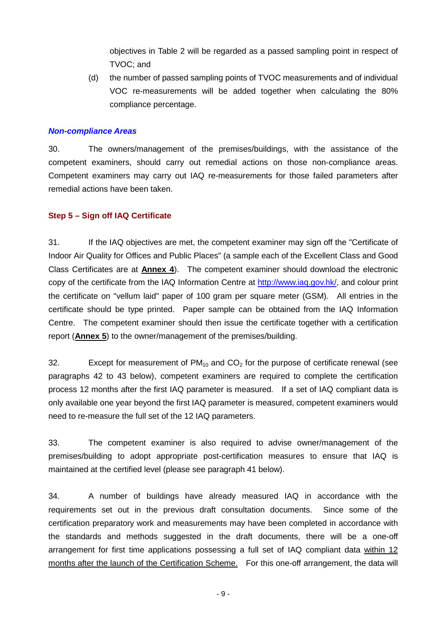objectives in Table 2 will be regarded as a passed sampling point in respect of TVOC; and

(d) the number of passed sampling points of TVOC measurements and of individual VOC re-measurements will be added together when calculating the 80% compliance percentage.

### *Non-compliance Areas*

30. The owners/management of the premises/buildings, with the assistance of the competent examiners, should carry out remedial actions on those non-compliance areas. Competent examiners may carry out IAQ re-measurements for those failed parameters after remedial actions have been taken.

#### **Step 5 – Sign off IAQ Certificate**

31. If the IAQ objectives are met, the competent examiner may sign off the "Certificate of Indoor Air Quality for Offices and Public Places" (a sample each of the Excellent Class and Good Class Certificates are at **Annex 4**). The competent examiner should download the electronic copy of the certificate from the IAQ Information Centre at http://www.iaq.gov.hk/, and colour print the certificate on "vellum laid" paper of 100 gram per square meter (GSM). All entries in the certificate should be type printed. Paper sample can be obtained from the IAQ Information Centre. The competent examiner should then issue the certificate together with a certification report (**Annex 5**) to the owner/management of the premises/building.

32. Except for measurement of  $PM_{10}$  and  $CO_2$  for the purpose of certificate renewal (see paragraphs 42 to 43 below), competent examiners are required to complete the certification process 12 months after the first IAQ parameter is measured. If a set of IAQ compliant data is only available one year beyond the first IAQ parameter is measured, competent examiners would need to re-measure the full set of the 12 IAQ parameters.

33. The competent examiner is also required to advise owner/management of the premises/building to adopt appropriate post-certification measures to ensure that IAQ is maintained at the certified level (please see paragraph 41 below).

34. A number of buildings have already measured IAQ in accordance with the requirements set out in the previous draft consultation documents. Since some of the certification preparatory work and measurements may have been completed in accordance with the standards and methods suggested in the draft documents, there will be a one-off arrangement for first time applications possessing a full set of IAQ compliant data within 12 months after the launch of the Certification Scheme. For this one-off arrangement, the data will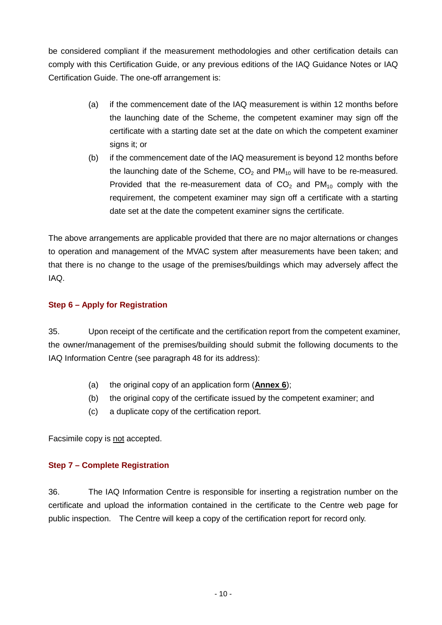be considered compliant if the measurement methodologies and other certification details can comply with this Certification Guide, or any previous editions of the IAQ Guidance Notes or IAQ Certification Guide. The one-off arrangement is:

- (a) if the commencement date of the IAQ measurement is within 12 months before the launching date of the Scheme, the competent examiner may sign off the certificate with a starting date set at the date on which the competent examiner signs it; or
- (b) if the commencement date of the IAQ measurement is beyond 12 months before the launching date of the Scheme,  $CO<sub>2</sub>$  and PM<sub>10</sub> will have to be re-measured. Provided that the re-measurement data of  $CO<sub>2</sub>$  and  $PM<sub>10</sub>$  comply with the requirement, the competent examiner may sign off a certificate with a starting date set at the date the competent examiner signs the certificate.

The above arrangements are applicable provided that there are no major alternations or changes to operation and management of the MVAC system after measurements have been taken; and that there is no change to the usage of the premises/buildings which may adversely affect the IAQ.

### **Step 6 – Apply for Registration**

35. Upon receipt of the certificate and the certification report from the competent examiner, the owner/management of the premises/building should submit the following documents to the IAQ Information Centre (see paragraph 48 for its address):

- (a) the original copy of an application form (**Annex 6**);
- (b) the original copy of the certificate issued by the competent examiner; and
- (c) a duplicate copy of the certification report.

Facsimile copy is not accepted.

### **Step 7 – Complete Registration**

36. The IAQ Information Centre is responsible for inserting a registration number on the certificate and upload the information contained in the certificate to the Centre web page for public inspection. The Centre will keep a copy of the certification report for record only.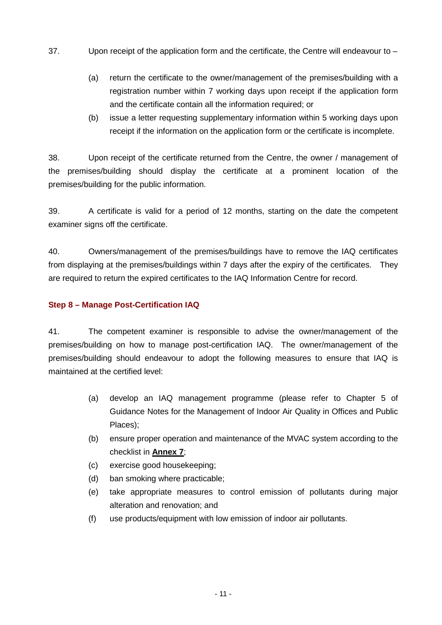- 37. Upon receipt of the application form and the certificate, the Centre will endeavour to
	- (a) return the certificate to the owner/management of the premises/building with a registration number within 7 working days upon receipt if the application form and the certificate contain all the information required; or
	- (b) issue a letter requesting supplementary information within 5 working days upon receipt if the information on the application form or the certificate is incomplete.

38. Upon receipt of the certificate returned from the Centre, the owner / management of the premises/building should display the certificate at a prominent location of the premises/building for the public information.

39. A certificate is valid for a period of 12 months, starting on the date the competent examiner signs off the certificate.

40. Owners/management of the premises/buildings have to remove the IAQ certificates from displaying at the premises/buildings within 7 days after the expiry of the certificates. They are required to return the expired certificates to the IAQ Information Centre for record.

### **Step 8 – Manage Post-Certification IAQ**

41. The competent examiner is responsible to advise the owner/management of the premises/building on how to manage post-certification IAQ. The owner/management of the premises/building should endeavour to adopt the following measures to ensure that IAQ is maintained at the certified level:

- (a) develop an IAQ management programme (please refer to Chapter 5 of Guidance Notes for the Management of Indoor Air Quality in Offices and Public Places);
- (b) ensure proper operation and maintenance of the MVAC system according to the checklist in **Annex 7**;
- (c) exercise good housekeeping;
- (d) ban smoking where practicable;
- (e) take appropriate measures to control emission of pollutants during major alteration and renovation; and
- (f) use products/equipment with low emission of indoor air pollutants.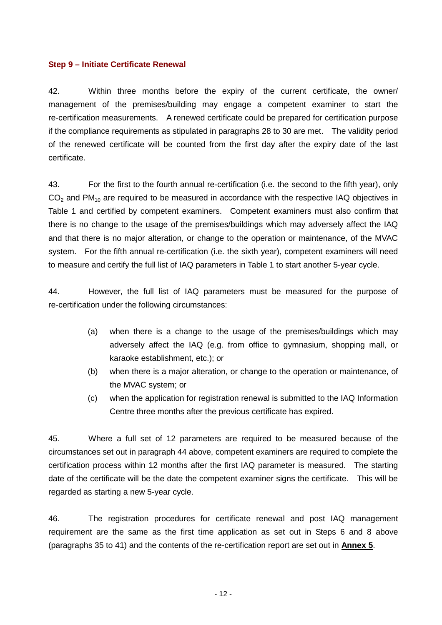### **Step 9 – Initiate Certificate Renewal**

42. Within three months before the expiry of the current certificate, the owner/ management of the premises/building may engage a competent examiner to start the re-certification measurements. A renewed certificate could be prepared for certification purpose if the compliance requirements as stipulated in paragraphs 28 to 30 are met. The validity period of the renewed certificate will be counted from the first day after the expiry date of the last certificate.

43. For the first to the fourth annual re-certification (i.e. the second to the fifth year), only  $CO<sub>2</sub>$  and PM<sub>10</sub> are required to be measured in accordance with the respective IAQ objectives in Table 1 and certified by competent examiners. Competent examiners must also confirm that there is no change to the usage of the premises/buildings which may adversely affect the IAQ and that there is no major alteration, or change to the operation or maintenance, of the MVAC system. For the fifth annual re-certification (i.e. the sixth year), competent examiners will need to measure and certify the full list of IAQ parameters in Table 1 to start another 5-year cycle.

44. However, the full list of IAQ parameters must be measured for the purpose of re-certification under the following circumstances:

- (a) when there is a change to the usage of the premises/buildings which may adversely affect the IAQ (e.g. from office to gymnasium, shopping mall, or karaoke establishment, etc.); or
- (b) when there is a major alteration, or change to the operation or maintenance, of the MVAC system; or
- (c) when the application for registration renewal is submitted to the IAQ Information Centre three months after the previous certificate has expired.

45. Where a full set of 12 parameters are required to be measured because of the circumstances set out in paragraph 44 above, competent examiners are required to complete the certification process within 12 months after the first IAQ parameter is measured. The starting date of the certificate will be the date the competent examiner signs the certificate. This will be regarded as starting a new 5-year cycle.

46. The registration procedures for certificate renewal and post IAQ management requirement are the same as the first time application as set out in Steps 6 and 8 above (paragraphs 35 to 41) and the contents of the re-certification report are set out in **Annex 5**.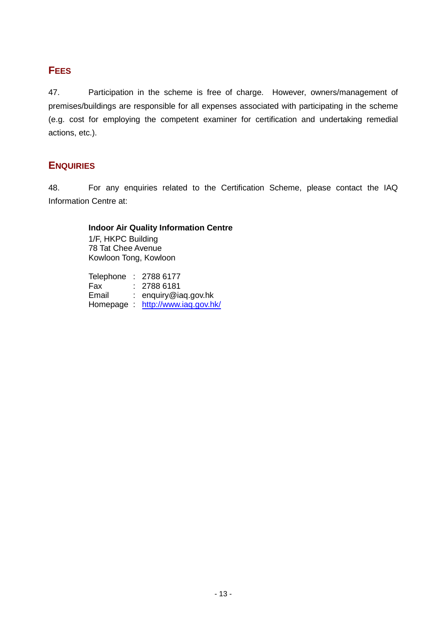# **FEES**

47. Participation in the scheme is free of charge. However, owners/management of premises/buildings are responsible for all expenses associated with participating in the scheme (e.g. cost for employing the competent examiner for certification and undertaking remedial actions, etc.).

# **ENQUIRIES**

48. For any enquiries related to the Certification Scheme, please contact the IAQ Information Centre at:

# **Indoor Air Quality Information Centre**

1/F, HKPC Building 78 Tat Chee Avenue Kowloon Tong, Kowloon

Telephone : 2788 6177 Fax : 2788 6181 Email : enquiry@iaq.gov.hk Homepage : http://www.iaq.gov.hk/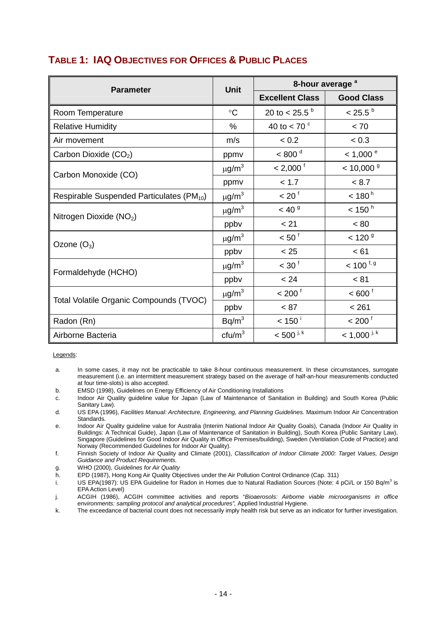| <b>Parameter</b>                                      | <b>Unit</b>            | 8-hour average <sup>a</sup> |                           |  |
|-------------------------------------------------------|------------------------|-----------------------------|---------------------------|--|
|                                                       |                        | <b>Excellent Class</b>      | <b>Good Class</b>         |  |
| Room Temperature                                      | $\circ$ C              | 20 to < 25.5 $^{\rm b}$     | $< 25.5^{\circ}$          |  |
| <b>Relative Humidity</b>                              | $\%$                   | 40 to < 70 $\degree$        | < 70                      |  |
| Air movement                                          | m/s                    | < 0.2                       | < 0.3                     |  |
| Carbon Dioxide (CO <sub>2</sub> )                     | ppmv                   | < 800 <sup>d</sup>          | $< 1,000$ <sup>e</sup>    |  |
| Carbon Monoxide (CO)                                  | $\mu$ g/m <sup>3</sup> | $< 2,000^{\circ}$           | $< 10,000$ <sup>g</sup>   |  |
|                                                       | ppmv                   | < 1.7                       | < 8.7                     |  |
| Respirable Suspended Particulates (PM <sub>10</sub> ) | $\mu$ g/m <sup>3</sup> | < 20 <sup>1</sup>           | < 180 <sup>h</sup>        |  |
| Nitrogen Dioxide (NO <sub>2</sub> )                   | $\mu$ g/m <sup>3</sup> | < 40 <sup>9</sup>           | $<$ 150 $^{\circ}$        |  |
|                                                       | ppbv                   | < 21                        | < 80                      |  |
| Ozone $(O_3)$                                         | $\mu$ g/m <sup>3</sup> | $< 50^{\circ}$              | < 120 <sup>9</sup>        |  |
|                                                       | ppby                   | < 25                        | < 61                      |  |
|                                                       | $\mu$ g/m <sup>3</sup> | $<$ 30 $1$                  | $< 100$ <sup>f, g</sup>   |  |
| Formaldehyde (HCHO)                                   | ppbv                   | < 24                        | < 81                      |  |
|                                                       | $\mu$ g/m <sup>3</sup> | $< 200^{\text{f}}$          | $< 600^{\circ}$           |  |
| Total Volatile Organic Compounds (TVOC)               | ppbv                   | < 87                        | < 261                     |  |
| Radon (Rn)                                            | Bq/m <sup>3</sup>      | $< 150^{\circ}$             | < 200 <sup>1</sup>        |  |
| Airborne Bacteria                                     | ctu/m <sup>3</sup>     | $< 500$ <sup>j, k</sup>     | $<$ 1,000 <sup>i, k</sup> |  |

# **TABLE 1: IAQ OBJECTIVES FOR OFFICES & PUBLIC PLACES**

Legends:

- a. In some cases, it may not be practicable to take 8-hour continuous measurement. In these circumstances, surrogate measurement (i.e. an intermittent measurement strategy based on the average of half-an-hour measurements conducted at four time-slots) is also accepted.
- b. EMSD (1998), Guidelines on Energy Efficiency of Air Conditioning Installations
- c. Indoor Air Quality guideline value for Japan (Law of Maintenance of Sanitation in Building) and South Korea (Public Sanitary Law).
- d. US EPA (1996), *Facilities Manual: Architecture, Engineering, and Planning Guidelines.* Maximum Indoor Air Concentration Standards.
- e. Indoor Air Quality guideline value for Australia (Interim National Indoor Air Quality Goals), Canada (Indoor Air Quality in Buildings: A Technical Guide), Japan (Law of Maintenance of Sanitation in Building), South Korea (Public Sanitary Law), Singapore (Guidelines for Good Indoor Air Quality in Office Premises/building), Sweden (Ventilation Code of Practice) and Norway (Recommended Guidelines for Indoor Air Quality).
- f. Finnish Society of Indoor Air Quality and Climate (2001), *Classification of Indoor Climate 2000: Target Values, Design Guidance and Product Requirements.*
- g. WHO (2000), *Guidelines for Air Quality*
- h. EPD (1987), Hong Kong Air Quality Objectives under the Air Pollution Control Ordinance (Cap. 311)
- i. US EPA(1987): US EPA Guideline for Radon in Homes due to Natural Radiation Sources (Note: 4 pCi/L or 150 Bq/m<sup>3</sup> is EPA Action Level)

j. ACGIH (1986), ACGIH committee activities and reports "*Bioaerosols: Airborne viable microorganisms in office environments: sampling protocol and analytical procedures",* Applied Industrial Hygiene.

k. The exceedance of bacterial count does not necessarily imply health risk but serve as an indicator for further investigation.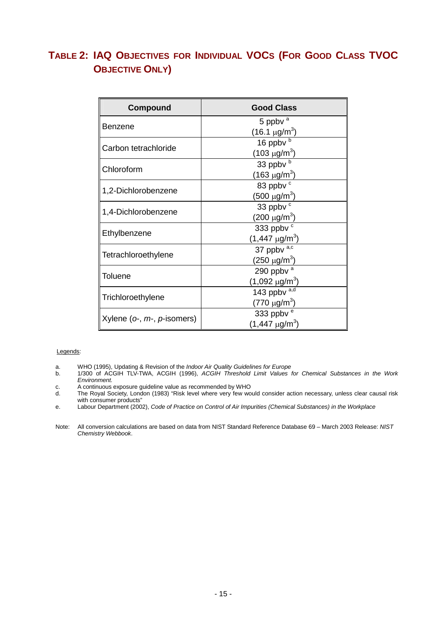# **TABLE 2: IAQ OBJECTIVES FOR INDIVIDUAL VOCS (FOR GOOD CLASS TVOC OBJECTIVE ONLY)**

| Compound                             | <b>Good Class</b>               |
|--------------------------------------|---------------------------------|
| Benzene                              | 5 ppbv $^a$                     |
|                                      | $(16.1 \,\mu g/m^3)$            |
| Carbon tetrachloride                 | 16 ppbv b                       |
|                                      | (103 μg/m <sup>3</sup> )        |
| Chloroform                           | 33 ppbv b                       |
|                                      | (163 μg/m <sup>3</sup> )        |
|                                      | 83 ppbv <sup>c</sup>            |
| 1,2-Dichlorobenzene                  | (500 μg/m <sup>3</sup> )        |
|                                      | 33 ppbv <sup>c</sup>            |
| 1,4-Dichlorobenzene                  | (200 $\mu$ g/m $^3$ )           |
|                                      | 333 ppbv <sup>c</sup>           |
| Ethylbenzene                         | (1,447 $\mu$ g/m $^3$ )         |
|                                      | 37 ppbv a,c                     |
| Tetrachloroethylene                  | $(250 \ \mu g/m^3)$             |
| Toluene                              | 290 ppbv $a$                    |
|                                      | (1,092 $\mu$ g/m <sup>3</sup> ) |
|                                      | 143 ppbv $a,d$                  |
| Trichloroethylene                    | (770 μg/m <sup>3</sup> )        |
|                                      | 333 ppbv <sup>e</sup>           |
| Xylene ( $o$ -, $m$ -, $p$ -isomers) | $(1,447 \mu g/m^3)$             |

#### Legends:

- a. WHO (1995), Updating & Revision of the *Indoor Air Quality Guidelines for Europe*
- b. 1/300 of ACGIH TLV-TWA, ACGIH (1996), *ACGIH Threshold Limit Values for Chemical Substances in the Work Environment.*
- c. A continuous exposure guideline value as recommended by WHO
- The Royal Society, London (1983) "Risk level where very few would consider action necessary, unless clear causal risk with consumer products"
- e. Labour Department (2002), *Code of Practice on Control of Air Impurities (Chemical Substances) in the Workplace*
- Note: All conversion calculations are based on data from NIST Standard Reference Database 69 March 2003 Release: *NIST Chemistry Webbook*.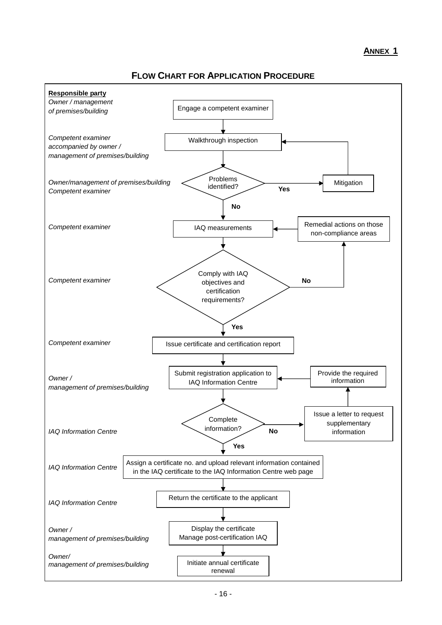### **FLOW CHART FOR APPLICATION PROCEDURE**

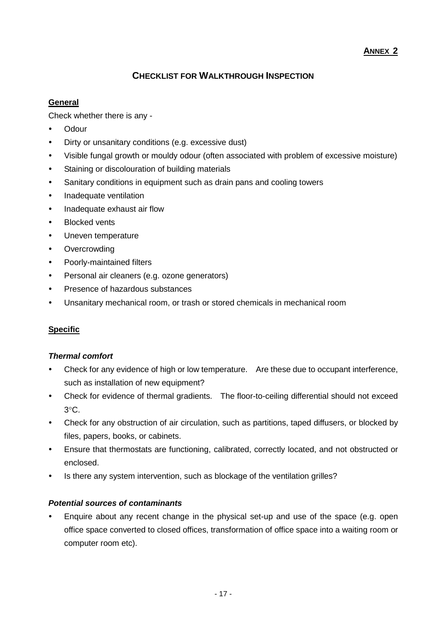### **ANNEX 2**

### **CHECKLIST FOR WALKTHROUGH INSPECTION**

### **General**

Check whether there is any -

- Odour
- Dirty or unsanitary conditions (e.g. excessive dust)
- Visible fungal growth or mouldy odour (often associated with problem of excessive moisture)
- Staining or discolouration of building materials
- Sanitary conditions in equipment such as drain pans and cooling towers
- Inadequate ventilation
- Inadequate exhaust air flow
- **Blocked vents**
- Uneven temperature
- Overcrowding
- Poorly-maintained filters
- Personal air cleaners (e.g. ozone generators)
- Presence of hazardous substances
- Unsanitary mechanical room, or trash or stored chemicals in mechanical room

### **Specific**

### *Thermal comfort*

- Check for any evidence of high or low temperature. Are these due to occupant interference, such as installation of new equipment?
- Check for evidence of thermal gradients. The floor-to-ceiling differential should not exceed 3°C.
- Check for any obstruction of air circulation, such as partitions, taped diffusers, or blocked by files, papers, books, or cabinets.
- Ensure that thermostats are functioning, calibrated, correctly located, and not obstructed or enclosed.
- Is there any system intervention, such as blockage of the ventilation grilles?

### *Potential sources of contaminants*

Enquire about any recent change in the physical set-up and use of the space (e.g. open office space converted to closed offices, transformation of office space into a waiting room or computer room etc).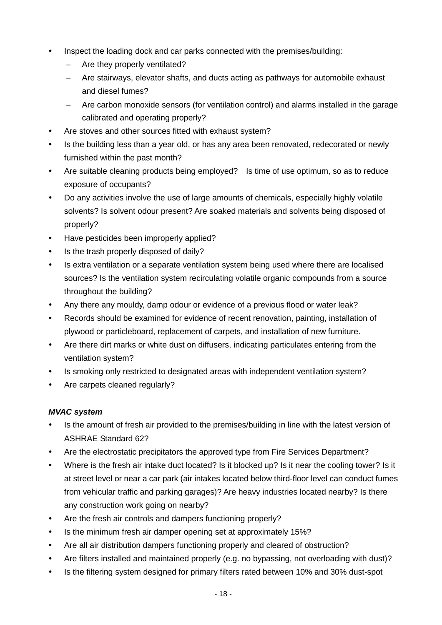- Inspect the loading dock and car parks connected with the premises/building:
	- Are they properly ventilated?
	- − Are stairways, elevator shafts, and ducts acting as pathways for automobile exhaust and diesel fumes?
	- − Are carbon monoxide sensors (for ventilation control) and alarms installed in the garage calibrated and operating properly?
- Are stoves and other sources fitted with exhaust system?
- Is the building less than a year old, or has any area been renovated, redecorated or newly furnished within the past month?
- Are suitable cleaning products being employed? Is time of use optimum, so as to reduce exposure of occupants?
- Do any activities involve the use of large amounts of chemicals, especially highly volatile solvents? Is solvent odour present? Are soaked materials and solvents being disposed of properly?
- Have pesticides been improperly applied?
- Is the trash properly disposed of daily?
- Is extra ventilation or a separate ventilation system being used where there are localised sources? Is the ventilation system recirculating volatile organic compounds from a source throughout the building?
- Any there any mouldy, damp odour or evidence of a previous flood or water leak?
- Records should be examined for evidence of recent renovation, painting, installation of plywood or particleboard, replacement of carpets, and installation of new furniture.
- Are there dirt marks or white dust on diffusers, indicating particulates entering from the ventilation system?
- Is smoking only restricted to designated areas with independent ventilation system?
- Are carpets cleaned regularly?

### *MVAC system*

- Is the amount of fresh air provided to the premises/building in line with the latest version of ASHRAE Standard 62?
- Are the electrostatic precipitators the approved type from Fire Services Department?
- Where is the fresh air intake duct located? Is it blocked up? Is it near the cooling tower? Is it at street level or near a car park (air intakes located below third-floor level can conduct fumes from vehicular traffic and parking garages)? Are heavy industries located nearby? Is there any construction work going on nearby?
- Are the fresh air controls and dampers functioning properly?
- Is the minimum fresh air damper opening set at approximately 15%?
- Are all air distribution dampers functioning properly and cleared of obstruction?
- Are filters installed and maintained properly (e.g. no bypassing, not overloading with dust)?
- Is the filtering system designed for primary filters rated between 10% and 30% dust-spot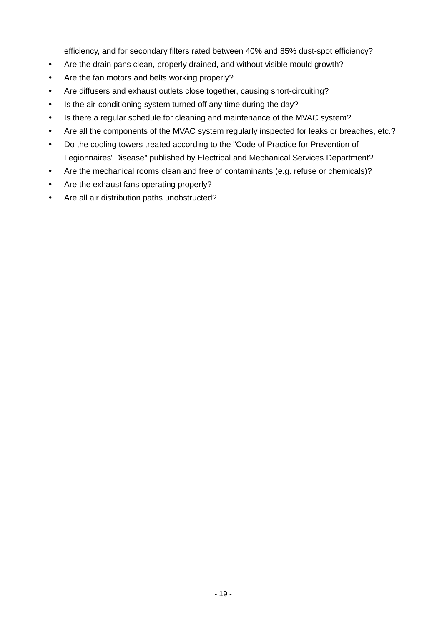efficiency, and for secondary filters rated between 40% and 85% dust-spot efficiency?

- Are the drain pans clean, properly drained, and without visible mould growth?
- Are the fan motors and belts working properly?
- Are diffusers and exhaust outlets close together, causing short-circuiting?
- Is the air-conditioning system turned off any time during the day?
- Is there a regular schedule for cleaning and maintenance of the MVAC system?
- Are all the components of the MVAC system regularly inspected for leaks or breaches, etc.?
- Do the cooling towers treated according to the "Code of Practice for Prevention of Legionnaires' Disease" published by Electrical and Mechanical Services Department?
- Are the mechanical rooms clean and free of contaminants (e.g. refuse or chemicals)?
- Are the exhaust fans operating properly?
- Are all air distribution paths unobstructed?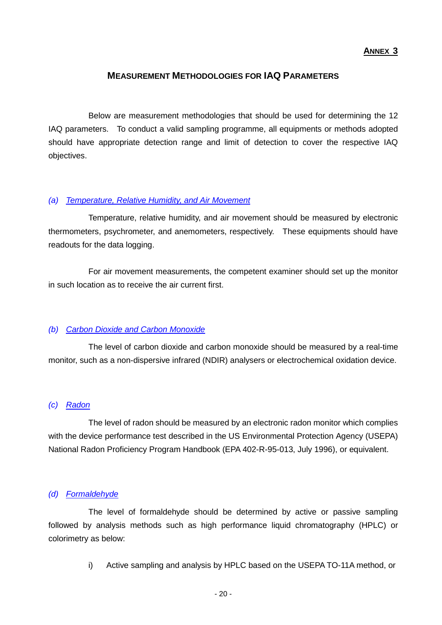### **ANNEX 3**

### **MEASUREMENT METHODOLOGIES FOR IAQ PARAMETERS**

 Below are measurement methodologies that should be used for determining the 12 IAQ parameters. To conduct a valid sampling programme, all equipments or methods adopted should have appropriate detection range and limit of detection to cover the respective IAQ objectives.

#### *(a) Temperature, Relative Humidity, and Air Movement*

 Temperature, relative humidity, and air movement should be measured by electronic thermometers, psychrometer, and anemometers, respectively. These equipments should have readouts for the data logging.

 For air movement measurements, the competent examiner should set up the monitor in such location as to receive the air current first.

### *(b) Carbon Dioxide and Carbon Monoxide*

 The level of carbon dioxide and carbon monoxide should be measured by a real-time monitor, such as a non-dispersive infrared (NDIR) analysers or electrochemical oxidation device.

### *(c) Radon*

 The level of radon should be measured by an electronic radon monitor which complies with the device performance test described in the US Environmental Protection Agency (USEPA) National Radon Proficiency Program Handbook (EPA 402-R-95-013, July 1996), or equivalent.

#### *(d) Formaldehyde*

 The level of formaldehyde should be determined by active or passive sampling followed by analysis methods such as high performance liquid chromatography (HPLC) or colorimetry as below:

i) Active sampling and analysis by HPLC based on the USEPA TO-11A method, or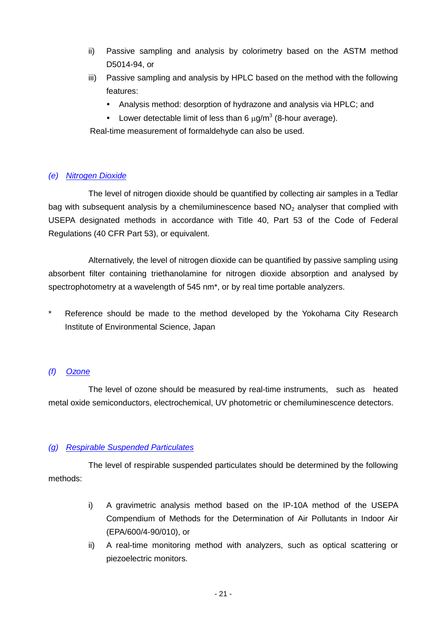- ii) Passive sampling and analysis by colorimetry based on the ASTM method D5014-94, or
- iii) Passive sampling and analysis by HPLC based on the method with the following features:
	- Analysis method: desorption of hydrazone and analysis via HPLC; and
	- Lower detectable limit of less than 6  $\mu$ g/m<sup>3</sup> (8-hour average).

Real-time measurement of formaldehyde can also be used.

### *(e) Nitrogen Dioxide*

 The level of nitrogen dioxide should be quantified by collecting air samples in a Tedlar bag with subsequent analysis by a chemiluminescence based  $NO<sub>2</sub>$  analyser that complied with USEPA designated methods in accordance with Title 40, Part 53 of the Code of Federal Regulations (40 CFR Part 53), or equivalent.

 Alternatively, the level of nitrogen dioxide can be quantified by passive sampling using absorbent filter containing triethanolamine for nitrogen dioxide absorption and analysed by spectrophotometry at a wavelength of 545 nm\*, or by real time portable analyzers.

\* Reference should be made to the method developed by the Yokohama City Research Institute of Environmental Science, Japan

### *(f) Ozone*

 The level of ozone should be measured by real-time instruments, such as heated metal oxide semiconductors, electrochemical, UV photometric or chemiluminescence detectors.

### *(g) Respirable Suspended Particulates*

 The level of respirable suspended particulates should be determined by the following methods:

- i) A gravimetric analysis method based on the IP-10A method of the USEPA Compendium of Methods for the Determination of Air Pollutants in Indoor Air (EPA/600/4-90/010), or
- ii) A real-time monitoring method with analyzers, such as optical scattering or piezoelectric monitors.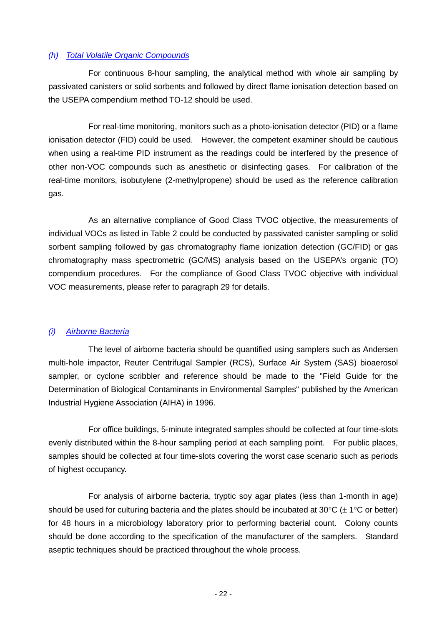### *(h) Total Volatile Organic Compounds*

 For continuous 8-hour sampling, the analytical method with whole air sampling by passivated canisters or solid sorbents and followed by direct flame ionisation detection based on the USEPA compendium method TO-12 should be used.

 For real-time monitoring, monitors such as a photo-ionisation detector (PID) or a flame ionisation detector (FID) could be used. However, the competent examiner should be cautious when using a real-time PID instrument as the readings could be interfered by the presence of other non-VOC compounds such as anesthetic or disinfecting gases. For calibration of the real-time monitors, isobutylene (2-methylpropene) should be used as the reference calibration gas.

 As an alternative compliance of Good Class TVOC objective, the measurements of individual VOCs as listed in Table 2 could be conducted by passivated canister sampling or solid sorbent sampling followed by gas chromatography flame ionization detection (GC/FID) or gas chromatography mass spectrometric (GC/MS) analysis based on the USEPA's organic (TO) compendium procedures. For the compliance of Good Class TVOC objective with individual VOC measurements, please refer to paragraph 29 for details.

### *(i) Airborne Bacteria*

 The level of airborne bacteria should be quantified using samplers such as Andersen multi-hole impactor, Reuter Centrifugal Sampler (RCS), Surface Air System (SAS) bioaerosol sampler, or cyclone scribbler and reference should be made to the "Field Guide for the Determination of Biological Contaminants in Environmental Samples" published by the American Industrial Hygiene Association (AIHA) in 1996.

 For office buildings, 5-minute integrated samples should be collected at four time-slots evenly distributed within the 8-hour sampling period at each sampling point. For public places, samples should be collected at four time-slots covering the worst case scenario such as periods of highest occupancy.

 For analysis of airborne bacteria, tryptic soy agar plates (less than 1-month in age) should be used for culturing bacteria and the plates should be incubated at 30 $\degree$ C ( $\pm$  1 $\degree$ C or better) for 48 hours in a microbiology laboratory prior to performing bacterial count. Colony counts should be done according to the specification of the manufacturer of the samplers. Standard aseptic techniques should be practiced throughout the whole process.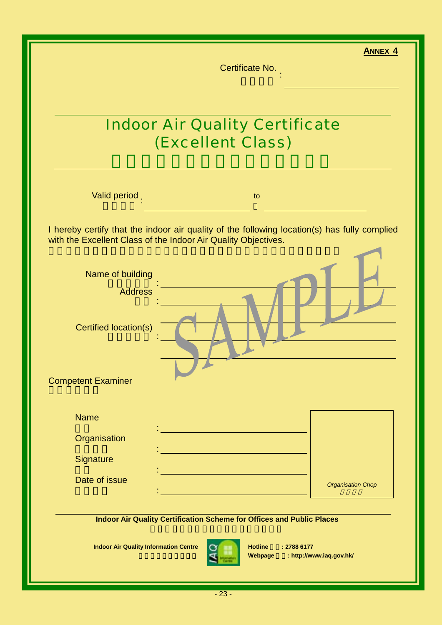|                                                                | <b>ANNEX 4</b><br>Certificate No.                                                            |
|----------------------------------------------------------------|----------------------------------------------------------------------------------------------|
|                                                                |                                                                                              |
|                                                                |                                                                                              |
|                                                                | <b>Indoor Air Quality Certificate</b><br>(Excellent Class)                                   |
|                                                                |                                                                                              |
| Valid period                                                   | to                                                                                           |
| with the Excellent Class of the Indoor Air Quality Objectives. | I hereby certify that the indoor air quality of the following location(s) has fully complied |
| Name of building                                               |                                                                                              |
| <b>Address</b>                                                 |                                                                                              |
| Certified location(s)                                          |                                                                                              |
| <b>Competent Examiner</b>                                      |                                                                                              |
| <b>Name</b>                                                    |                                                                                              |
| Organisation                                                   |                                                                                              |
| Signature                                                      |                                                                                              |
| Date of issue                                                  | <b>Organisation Chop</b>                                                                     |
|                                                                | Indoor Air Quality Certification Scheme for Offices and Public Places                        |
| <b>Indoor Air Quality Information Centre</b>                   | <b>Hotline</b><br>: 2788 6177                                                                |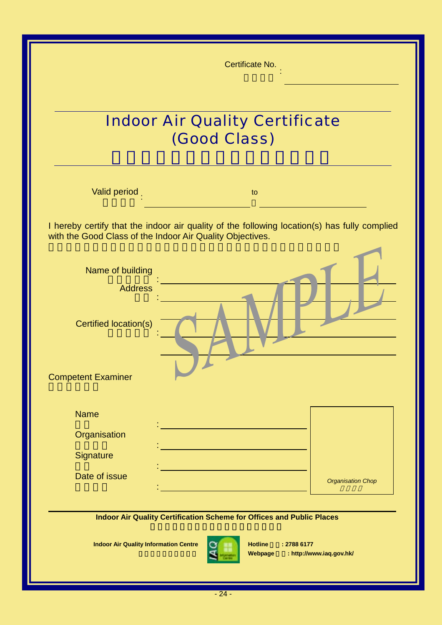|                                              | Certificate No.                                                                                                                                           |                          |  |  |
|----------------------------------------------|-----------------------------------------------------------------------------------------------------------------------------------------------------------|--------------------------|--|--|
|                                              | <b>Indoor Air Quality Certificate</b><br>(Good Class)                                                                                                     |                          |  |  |
| Valid period                                 | to                                                                                                                                                        |                          |  |  |
|                                              | I hereby certify that the indoor air quality of the following location(s) has fully complied<br>with the Good Class of the Indoor Air Quality Objectives. |                          |  |  |
| Name of building                             |                                                                                                                                                           |                          |  |  |
| <b>Address</b>                               |                                                                                                                                                           |                          |  |  |
| Certified location(s)                        |                                                                                                                                                           |                          |  |  |
| <b>Competent Examiner</b>                    |                                                                                                                                                           |                          |  |  |
| <b>Name</b>                                  |                                                                                                                                                           |                          |  |  |
| Organisation                                 |                                                                                                                                                           |                          |  |  |
| Signature                                    |                                                                                                                                                           |                          |  |  |
| Date of issue                                |                                                                                                                                                           | <b>Organisation Chop</b> |  |  |
|                                              | Indoor Air Quality Certification Scheme for Offices and Public Places                                                                                     |                          |  |  |
| <b>Indoor Air Quality Information Centre</b> | <b>Hotline</b><br>: 2788 6177<br>Webpage                                                                                                                  | : http://www.iaq.gov.hk/ |  |  |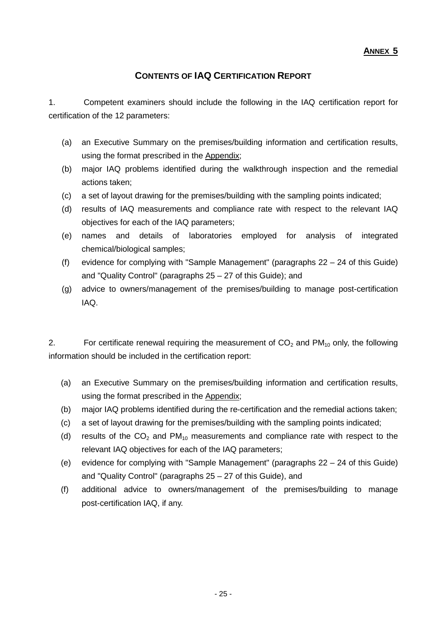## **CONTENTS OF IAQ CERTIFICATION REPORT**

1. Competent examiners should include the following in the IAQ certification report for certification of the 12 parameters:

- (a) an Executive Summary on the premises/building information and certification results, using the format prescribed in the Appendix;
- (b) major IAQ problems identified during the walkthrough inspection and the remedial actions taken;
- (c) a set of layout drawing for the premises/building with the sampling points indicated;
- (d) results of IAQ measurements and compliance rate with respect to the relevant IAQ objectives for each of the IAQ parameters;
- (e) names and details of laboratories employed for analysis of integrated chemical/biological samples;
- (f) evidence for complying with "Sample Management" (paragraphs 22 24 of this Guide) and "Quality Control" (paragraphs 25 – 27 of this Guide); and
- (g) advice to owners/management of the premises/building to manage post-certification IAQ.

2. For certificate renewal requiring the measurement of  $CO<sub>2</sub>$  and PM<sub>10</sub> only, the following information should be included in the certification report:

- (a) an Executive Summary on the premises/building information and certification results, using the format prescribed in the Appendix;
- (b) major IAQ problems identified during the re-certification and the remedial actions taken;
- (c) a set of layout drawing for the premises/building with the sampling points indicated;
- (d) results of the  $CO<sub>2</sub>$  and PM<sub>10</sub> measurements and compliance rate with respect to the relevant IAQ objectives for each of the IAQ parameters;
- (e) evidence for complying with "Sample Management" (paragraphs 22 24 of this Guide) and "Quality Control" (paragraphs 25 – 27 of this Guide), and
- (f) additional advice to owners/management of the premises/building to manage post-certification IAQ, if any.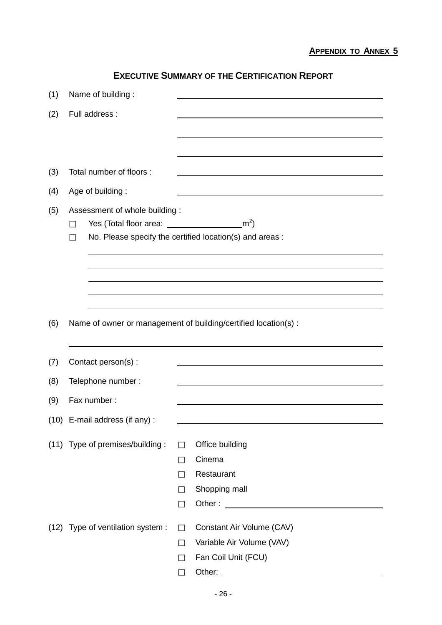# **EXECUTIVE SUMMARY OF THE CERTIFICATION REPORT**

| (1)  | Name of building:                                                       |                                                                 |
|------|-------------------------------------------------------------------------|-----------------------------------------------------------------|
| (2)  | Full address :                                                          |                                                                 |
|      |                                                                         |                                                                 |
|      |                                                                         |                                                                 |
|      |                                                                         |                                                                 |
| (3)  | Total number of floors :                                                |                                                                 |
| (4)  | Age of building:                                                        |                                                                 |
| (5)  | Assessment of whole building:<br>Yes (Total floor area: $\frac{m^2}{2}$ | No. Please specify the certified location(s) and areas :        |
|      |                                                                         |                                                                 |
|      |                                                                         |                                                                 |
|      |                                                                         |                                                                 |
|      |                                                                         |                                                                 |
| (6)  |                                                                         | Name of owner or management of building/certified location(s) : |
|      |                                                                         |                                                                 |
| (7)  | Contact person(s):                                                      |                                                                 |
| (8)  | Telephone number:                                                       |                                                                 |
| (9)  | Fax number:                                                             |                                                                 |
|      |                                                                         |                                                                 |
| (10) | E-mail address (if any) :                                               |                                                                 |
|      | (11) Type of premises/building:                                         | Office building                                                 |
|      |                                                                         | Cinema                                                          |
|      |                                                                         | Restaurant                                                      |
|      |                                                                         | Shopping mall                                                   |
|      |                                                                         |                                                                 |
|      | (12) Type of ventilation system :                                       | Constant Air Volume (CAV)                                       |
|      |                                                                         | Variable Air Volume (VAV)                                       |
|      |                                                                         | Fan Coil Unit (FCU)                                             |
|      |                                                                         | Other:                                                          |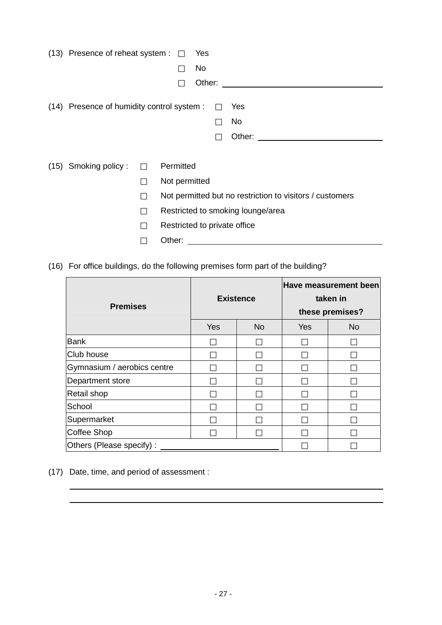| (13) Presence of reheat system :           |               | Yes                          |                                   |                                                          |
|--------------------------------------------|---------------|------------------------------|-----------------------------------|----------------------------------------------------------|
|                                            |               | <b>No</b>                    |                                   |                                                          |
|                                            |               | Other:                       |                                   |                                                          |
| (14) Presence of humidity control system : |               |                              | Yes                               |                                                          |
|                                            |               |                              | No                                |                                                          |
|                                            |               |                              | Other:                            |                                                          |
|                                            |               |                              |                                   |                                                          |
| (15) Smoking policy:                       | Permitted     |                              |                                   |                                                          |
|                                            | Not permitted |                              |                                   |                                                          |
|                                            |               |                              |                                   | Not permitted but no restriction to visitors / customers |
|                                            |               |                              | Restricted to smoking lounge/area |                                                          |
|                                            |               | Restricted to private office |                                   |                                                          |
|                                            | Other:        |                              |                                   |                                                          |

(16) For office buildings, do the following premises form part of the building?

| <b>Premises</b>             | <b>Existence</b> |           | <b>Have measurement been</b><br>taken in<br>these premises? |           |
|-----------------------------|------------------|-----------|-------------------------------------------------------------|-----------|
|                             | Yes              | <b>No</b> | Yes                                                         | <b>No</b> |
| <b>Bank</b>                 |                  |           |                                                             |           |
| Club house                  |                  |           |                                                             |           |
| Gymnasium / aerobics centre |                  |           |                                                             |           |
| Department store            |                  |           |                                                             |           |
| Retail shop                 |                  |           |                                                             |           |
| School                      |                  |           |                                                             |           |
| Supermarket                 |                  |           |                                                             |           |
| <b>Coffee Shop</b>          |                  |           |                                                             |           |
| Others (Please specify):    |                  |           |                                                             |           |

(17) Date, time, and period of assessment :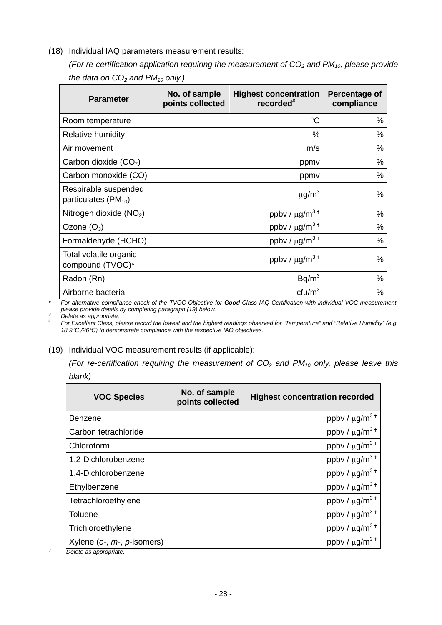### (18) Individual IAQ parameters measurement results:

*(For re-certification application requiring the measurement of*  $CO<sub>2</sub>$  *and PM<sub>10</sub>, please provide* the data on  $CO<sub>2</sub>$  and  $PM<sub>10</sub>$  only.)

| <b>Parameter</b>                                   | No. of sample<br>points collected | <b>Highest concentration</b><br>recorded <sup>#</sup> | Percentage of<br>compliance |
|----------------------------------------------------|-----------------------------------|-------------------------------------------------------|-----------------------------|
| Room temperature                                   |                                   | $\rm ^{\circ}C$                                       | $\%$                        |
| <b>Relative humidity</b>                           |                                   | %                                                     | %                           |
| Air movement                                       |                                   | m/s                                                   | %                           |
| Carbon dioxide $(CO2)$                             |                                   | ppmv                                                  | %                           |
| Carbon monoxide (CO)                               |                                   | ppmv                                                  | %                           |
| Respirable suspended<br>particulates ( $PM_{10}$ ) |                                   | $\mu$ g/m <sup>3</sup>                                | %                           |
| Nitrogen dioxide $(NO2)$                           |                                   | ppbv / $\mu$ g/m <sup>3+</sup>                        | %                           |
| Ozone $(O_3)$                                      |                                   | ppbv / $\mu$ g/m <sup>3+</sup>                        | %                           |
| Formaldehyde (HCHO)                                |                                   | ppbv / $\mu$ g/m <sup>3+</sup>                        | %                           |
| Total volatile organic<br>compound (TVOC)*         |                                   | ppbv / $\mu$ g/m <sup>3+</sup>                        | %                           |
| Radon (Rn)                                         |                                   | Bq/m <sup>3</sup>                                     | %                           |
| Airborne bacteria                                  |                                   | ctu/m <sup>3</sup>                                    | %                           |

*\* For alternative compliance check of the TVOC Objective for Good Class IAQ Certification with individual VOC measurement, please provide details by completing paragraph (19) below.* 

<sup>g</sup> *Delete as appropriate. #*

 *For Excellent Class, please record the lowest and the highest readings observed for "Temperature" and "Relative Humidity" (e.g. 18.9*°*C /26*°*C) to demonstrate compliance with the respective IAQ objectives.* 

### (19) Individual VOC measurement results (if applicable):

*(For re-certification requiring the measurement of*  $CO<sub>2</sub>$  *and PM<sub>10</sub> only, please leave this blank)* 

| vial in |  |
|---------|--|
|         |  |

| <b>VOC Species</b>                                            | No. of sample<br>points collected | <b>Highest concentration recorded</b> |
|---------------------------------------------------------------|-----------------------------------|---------------------------------------|
| Benzene                                                       |                                   | ppbv / $\mu$ g/m <sup>3+</sup>        |
| Carbon tetrachloride                                          |                                   | ppbv / $\mu$ g/m <sup>3+</sup>        |
| Chloroform                                                    |                                   | ppbv / $\mu$ g/m <sup>3+</sup>        |
| 1,2-Dichlorobenzene                                           |                                   | ppbv / $\mu$ g/m <sup>3+</sup>        |
| 1,4-Dichlorobenzene                                           |                                   | ppbv / $\mu$ g/m <sup>3+</sup>        |
| Ethylbenzene                                                  |                                   | ppbv / $\mu$ g/m <sup>3+</sup>        |
| Tetrachloroethylene                                           |                                   | ppbv / $\mu$ g/m <sup>3+</sup>        |
| <b>Toluene</b>                                                |                                   | ppbv / $\mu$ g/m <sup>3+</sup>        |
| Trichloroethylene                                             |                                   | ppbv / $\mu$ g/m <sup>3+</sup>        |
| Xylene ( $o$ -, $m$ -, $p$ -isomers)<br>Doloto as appropriato |                                   | ppbv / $\mu$ g/m <sup>3+</sup>        |

g *Delete as appropriate.*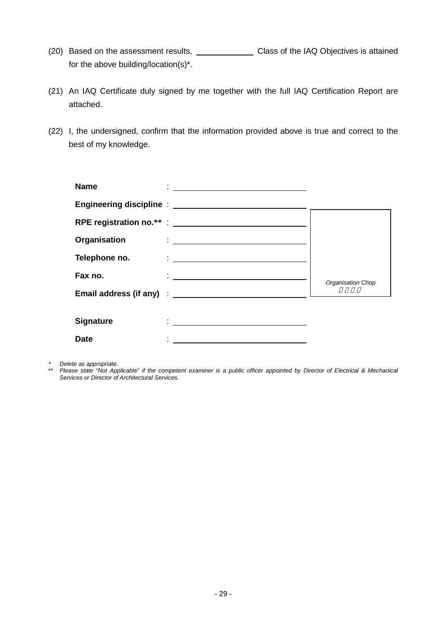- (20) Based on the assessment results, Class of the IAQ Objectives is attained for the above building/location(s)\*.
- (21) An IAQ Certificate duly signed by me together with the full IAQ Certification Report are attached.
- (22) I, the undersigned, confirm that the information provided above is true and correct to the best of my knowledge.

| <b>Name</b>      | <u> 1989 - Andrea Andrew Maria (h. 1989).</u>           |                   |
|------------------|---------------------------------------------------------|-------------------|
|                  |                                                         |                   |
|                  |                                                         |                   |
| Organisation     |                                                         |                   |
| Telephone no.    |                                                         |                   |
| Fax no.          | <u> 1988 - Jan Sterner Sterner (d. 1989)</u>            | Organisation Chop |
|                  |                                                         |                   |
|                  |                                                         |                   |
| <b>Signature</b> | <u> 1988 - Andrea Stadt, fransk politiker (d. 1989)</u> |                   |
| <b>Date</b>      |                                                         |                   |

*\* Delete as appropriate.* 

\*\* *Please state "Not Applicable" if the competent examiner is a public officer appointed by Director of Electrical & Mechanical Services or Director of Architectural Services.*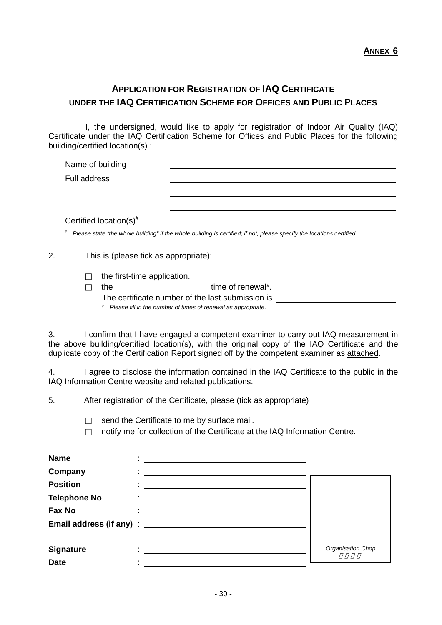# **APPLICATION FOR REGISTRATION OF IAQ CERTIFICATE UNDER THE IAQ CERTIFICATION SCHEME FOR OFFICES AND PUBLIC PLACES**

 I, the undersigned, would like to apply for registration of Indoor Air Quality (IAQ) Certificate under the IAQ Certification Scheme for Offices and Public Places for the following building/certified location(s) :

| Name of building                   |  |
|------------------------------------|--|
| <b>Full address</b>                |  |
|                                    |  |
|                                    |  |
| Certified location(s) <sup>#</sup> |  |

2. This is (please tick as appropriate):

the first-time application.

the time of renewal\*.

The certificate number of the last submission is

*\* Please fill in the number of times of renewal as appropriate.* 

3. I confirm that I have engaged a competent examiner to carry out IAQ measurement in the above building/certified location(s), with the original copy of the IAQ Certificate and the duplicate copy of the Certification Report signed off by the competent examiner as attached.

4. I agree to disclose the information contained in the IAQ Certificate to the public in the IAQ Information Centre website and related publications.

5. After registration of the Certificate, please (tick as appropriate)

send the Certificate to me by surface mail. notify me for collection of the Certificate at the IAQ Information Centre.

| <b>Name</b>         |                                                                                                                         |                   |
|---------------------|-------------------------------------------------------------------------------------------------------------------------|-------------------|
| Company             |                                                                                                                         |                   |
| <b>Position</b>     |                                                                                                                         |                   |
| <b>Telephone No</b> |                                                                                                                         |                   |
| <b>Fax No</b>       |                                                                                                                         |                   |
|                     |                                                                                                                         |                   |
|                     |                                                                                                                         |                   |
| <b>Signature</b>    | <u> The Communication of the Communication of the Communication of the Communication of the Communication of the Co</u> | Organisation Chop |
| <b>Date</b>         |                                                                                                                         |                   |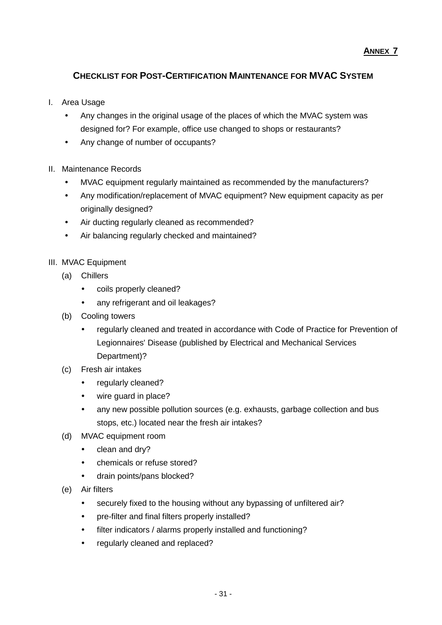## **CHECKLIST FOR POST-CERTIFICATION MAINTENANCE FOR MVAC SYSTEM**

- I. Area Usage
	- Any changes in the original usage of the places of which the MVAC system was designed for? For example, office use changed to shops or restaurants?
	- Any change of number of occupants?
- II. Maintenance Records
	- MVAC equipment regularly maintained as recommended by the manufacturers?
	- Any modification/replacement of MVAC equipment? New equipment capacity as per originally designed?
	- Air ducting regularly cleaned as recommended?
	- Air balancing regularly checked and maintained?
- III. MVAC Equipment
	- (a) Chillers
		- coils properly cleaned?
		- any refrigerant and oil leakages?
	- (b) Cooling towers
		- regularly cleaned and treated in accordance with Code of Practice for Prevention of Legionnaires' Disease (published by Electrical and Mechanical Services Department)?
	- (c) Fresh air intakes
		- regularly cleaned?
		- wire quard in place?
		- any new possible pollution sources (e.g. exhausts, garbage collection and bus stops, etc.) located near the fresh air intakes?
	- (d) MVAC equipment room
		- clean and dry?
		- chemicals or refuse stored?
		- drain points/pans blocked?
	- (e) Air filters
		- securely fixed to the housing without any bypassing of unfiltered air?
		- pre-filter and final filters properly installed?
		- filter indicators / alarms properly installed and functioning?
		- regularly cleaned and replaced?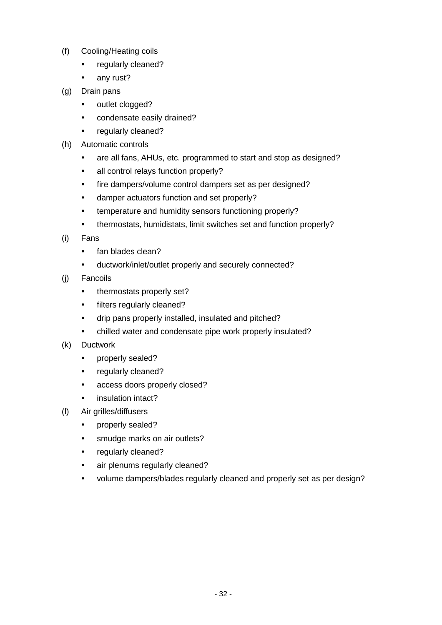- (f) Cooling/Heating coils
	- regularly cleaned?
	- any rust?
- (g) Drain pans
	- outlet clogged?
	- condensate easily drained?
	- regularly cleaned?
- (h) Automatic controls
	- are all fans, AHUs, etc. programmed to start and stop as designed?
	- all control relays function properly?
	- fire dampers/volume control dampers set as per designed?
	- damper actuators function and set properly?
	- temperature and humidity sensors functioning properly?
	- thermostats, humidistats, limit switches set and function properly?
- (i) Fans
	- fan blades clean?
	- ductwork/inlet/outlet properly and securely connected?
- (j) Fancoils
	- thermostats properly set?
	- filters regularly cleaned?
	- drip pans properly installed, insulated and pitched?
	- chilled water and condensate pipe work properly insulated?
- (k) Ductwork
	- properly sealed?
	- regularly cleaned?
	- access doors properly closed?
	- insulation intact?
- (l) Air grilles/diffusers
	- properly sealed?
	- smudge marks on air outlets?
	- regularly cleaned?
	- air plenums regularly cleaned?
	- volume dampers/blades regularly cleaned and properly set as per design?